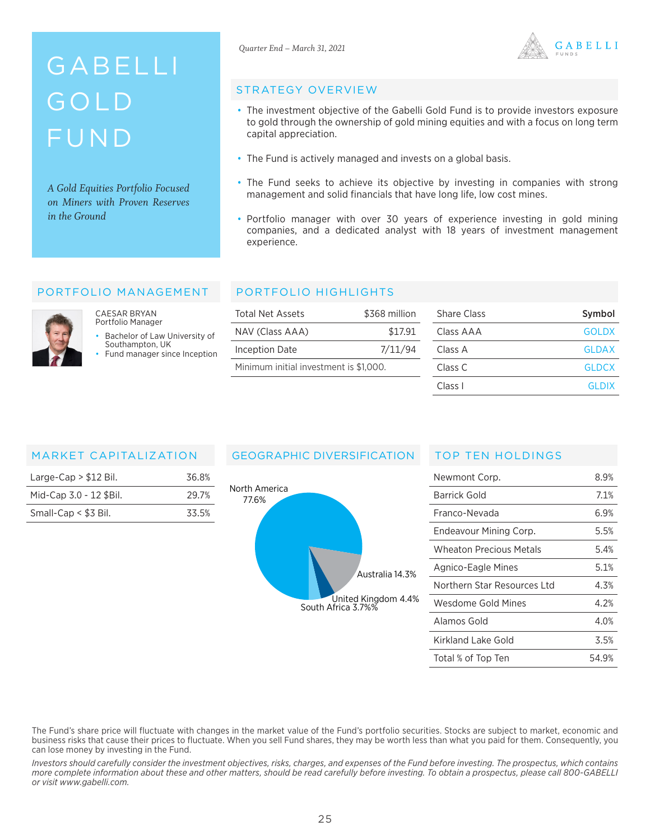# GABELLI GOLD FUND

*A Gold Equities Portfolio Focused on Miners with Proven Reserves in the Ground*



#### STRATEGY OVERVIEW

- The investment objective of the Gabelli Gold Fund is to provide investors exposure to gold through the ownership of gold mining equities and with a focus on long term capital appreciation.
- The Fund is actively managed and invests on a global basis.
- The Fund seeks to achieve its objective by investing in companies with strong management and solid financials that have long life, low cost mines.
- Portfolio manager with over 30 years of experience investing in gold mining companies, and a dedicated analyst with 18 years of investment management experience.

#### PORTFOLIO MANAGEMENT



CAESAR BRYAN Portfolio Manager

Bachelor of Law University of Southampton, UK

Fund manager since Inception

#### PORTFOLIO HIGHLIGHTS

| Total Net Assets                       | \$368 million | <b>Share Class</b> | Symbol       |
|----------------------------------------|---------------|--------------------|--------------|
| NAV (Class AAA)                        | \$17.91       | Class AAA          | <b>GOLDX</b> |
| <b>Inception Date</b>                  | 7/11/94       | Class A            | <b>GLDAX</b> |
| Minimum initial investment is \$1,000. |               | Class C            | <b>GLDCX</b> |
|                                        |               | Class I            | GLDIX        |

#### MARKET CAPITALIZATION

| Large-Cap $> $12$ Bil.  | 36.8% |
|-------------------------|-------|
| Mid-Cap 3.0 - 12 \$Bil. | 29.7% |
| Small-Cap $<$ \$3 Bil.  | 33.5% |

### GEOGRAPHIC DIVERSIFICATION



#### TOP TEN HOLDINGS

| Newmont Corp.               | 8.9%  |
|-----------------------------|-------|
| Barrick Gold                | 7.1%  |
| Franco-Nevada               | 6.9%  |
| Endeavour Mining Corp.      | 5.5%  |
| Wheaton Precious Metals     | 5.4%  |
| Agnico-Eagle Mines          | 5.1%  |
| Northern Star Resources Ltd | 4.3%  |
| Wesdome Gold Mines          | 4.2%  |
| Alamos Gold                 | 4.0%  |
| Kirkland Lake Gold          | 3.5%  |
| Total % of Top Ten          | 54.9% |

The Fund's share price will fluctuate with changes in the market value of the Fund's portfolio securities. Stocks are subject to market, economic and business risks that cause their prices to fluctuate. When you sell Fund shares, they may be worth less than what you paid for them. Consequently, you can lose money by investing in the Fund.

*Investors should carefully consider the investment objectives, risks, charges, and expenses of the Fund before investing. The prospectus, which contains more complete information about these and other matters, should be read carefully before investing. To obtain a prospectus, please call 800-GABELLI or visit www.gabelli.com.*